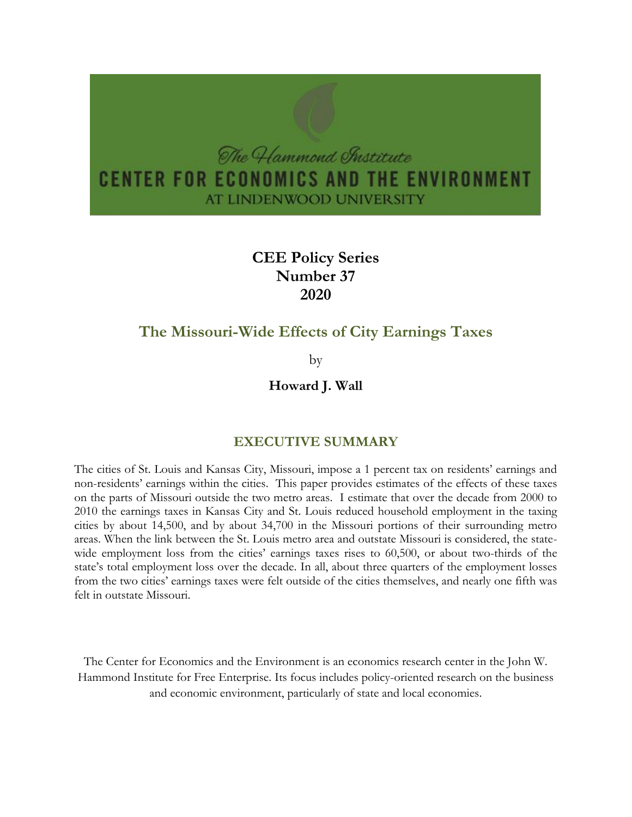

# **CEE Policy Series Number 37 2020**

# **The Missouri-Wide Effects of City Earnings Taxes**

by

**Howard J. Wall**

# **EXECUTIVE SUMMARY**

The cities of St. Louis and Kansas City, Missouri, impose a 1 percent tax on residents' earnings and non-residents' earnings within the cities. This paper provides estimates of the effects of these taxes on the parts of Missouri outside the two metro areas. I estimate that over the decade from 2000 to 2010 the earnings taxes in Kansas City and St. Louis reduced household employment in the taxing cities by about 14,500, and by about 34,700 in the Missouri portions of their surrounding metro areas. When the link between the St. Louis metro area and outstate Missouri is considered, the statewide employment loss from the cities' earnings taxes rises to 60,500, or about two-thirds of the state's total employment loss over the decade. In all, about three quarters of the employment losses from the two cities' earnings taxes were felt outside of the cities themselves, and nearly one fifth was felt in outstate Missouri.

The Center for Economics and the Environment is an economics research center in the John W. Hammond Institute for Free Enterprise. Its focus includes policy-oriented research on the business and economic environment, particularly of state and local economies.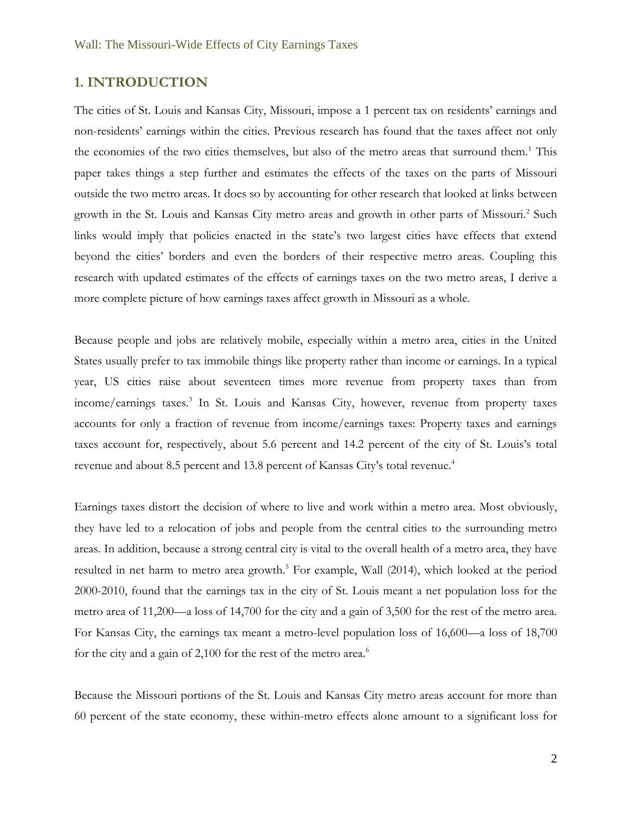### **1. INTRODUCTION**

The cities of St. Louis and Kansas City, Missouri, impose a 1 percent tax on residents' earnings and non-residents' earnings within the cities. Previous research has found that the taxes affect not only the economies of the two cities themselves, but also of the metro areas that surround them.<sup>1</sup> This paper takes things a step further and estimates the effects of the taxes on the parts of Missouri outside the two metro areas. It does so by accounting for other research that looked at links between growth in the St. Louis and Kansas City metro areas and growth in other parts of Missouri.<sup>2</sup> Such links would imply that policies enacted in the state's two largest cities have effects that extend beyond the cities' borders and even the borders of their respective metro areas. Coupling this research with updated estimates of the effects of earnings taxes on the two metro areas, I derive a more complete picture of how earnings taxes affect growth in Missouri as a whole.

Because people and jobs are relatively mobile, especially within a metro area, cities in the United States usually prefer to tax immobile things like property rather than income or earnings. In a typical year, US cities raise about seventeen times more revenue from property taxes than from income/earnings taxes.<sup>3</sup> In St. Louis and Kansas City, however, revenue from property taxes accounts for only a fraction of revenue from income/earnings taxes: Property taxes and earnings taxes account for, respectively, about 5.6 percent and 14.2 percent of the city of St. Louis's total revenue and about 8.5 percent and 13.8 percent of Kansas City's total revenue.<sup>4</sup>

Earnings taxes distort the decision of where to live and work within a metro area. Most obviously, they have led to a relocation of jobs and people from the central cities to the surrounding metro areas. In addition, because a strong central city is vital to the overall health of a metro area, they have resulted in net harm to metro area growth.<sup>5</sup> For example, Wall (2014), which looked at the period 2000-2010, found that the earnings tax in the city of St. Louis meant a net population loss for the metro area of 11,200—a loss of 14,700 for the city and a gain of 3,500 for the rest of the metro area. For Kansas City, the earnings tax meant a metro-level population loss of 16,600—a loss of 18,700 for the city and a gain of 2,100 for the rest of the metro area.<sup>6</sup>

Because the Missouri portions of the St. Louis and Kansas City metro areas account for more than 60 percent of the state economy, these within-metro effects alone amount to a significant loss for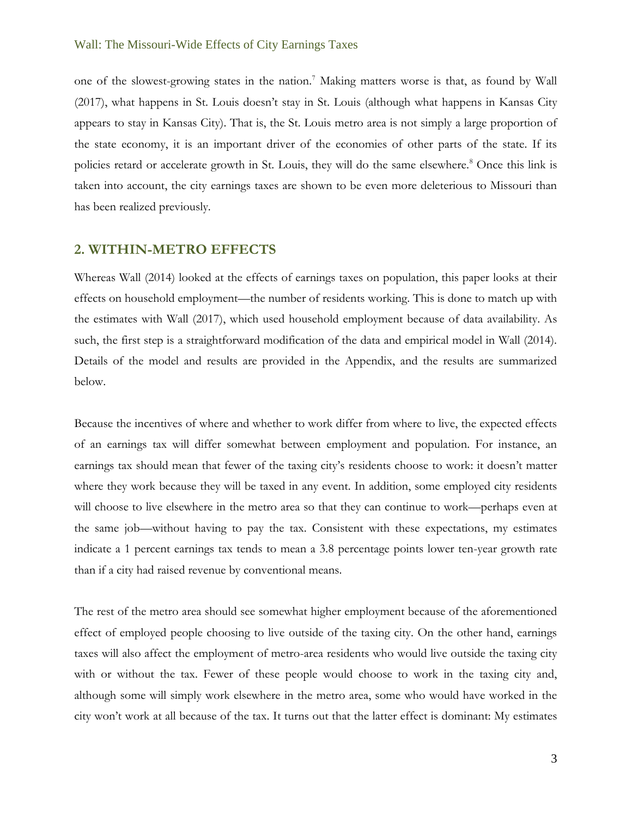one of the slowest-growing states in the nation.<sup>7</sup> Making matters worse is that, as found by Wall (2017), what happens in St. Louis doesn't stay in St. Louis (although what happens in Kansas City appears to stay in Kansas City). That is, the St. Louis metro area is not simply a large proportion of the state economy, it is an important driver of the economies of other parts of the state. If its policies retard or accelerate growth in St. Louis, they will do the same elsewhere.<sup>8</sup> Once this link is taken into account, the city earnings taxes are shown to be even more deleterious to Missouri than has been realized previously.

### **2. WITHIN-METRO EFFECTS**

Whereas Wall (2014) looked at the effects of earnings taxes on population, this paper looks at their effects on household employment—the number of residents working. This is done to match up with the estimates with Wall (2017), which used household employment because of data availability. As such, the first step is a straightforward modification of the data and empirical model in Wall (2014). Details of the model and results are provided in the Appendix, and the results are summarized below.

Because the incentives of where and whether to work differ from where to live, the expected effects of an earnings tax will differ somewhat between employment and population. For instance, an earnings tax should mean that fewer of the taxing city's residents choose to work: it doesn't matter where they work because they will be taxed in any event. In addition, some employed city residents will choose to live elsewhere in the metro area so that they can continue to work—perhaps even at the same job—without having to pay the tax. Consistent with these expectations, my estimates indicate a 1 percent earnings tax tends to mean a 3.8 percentage points lower ten-year growth rate than if a city had raised revenue by conventional means.

The rest of the metro area should see somewhat higher employment because of the aforementioned effect of employed people choosing to live outside of the taxing city. On the other hand, earnings taxes will also affect the employment of metro-area residents who would live outside the taxing city with or without the tax. Fewer of these people would choose to work in the taxing city and, although some will simply work elsewhere in the metro area, some who would have worked in the city won't work at all because of the tax. It turns out that the latter effect is dominant: My estimates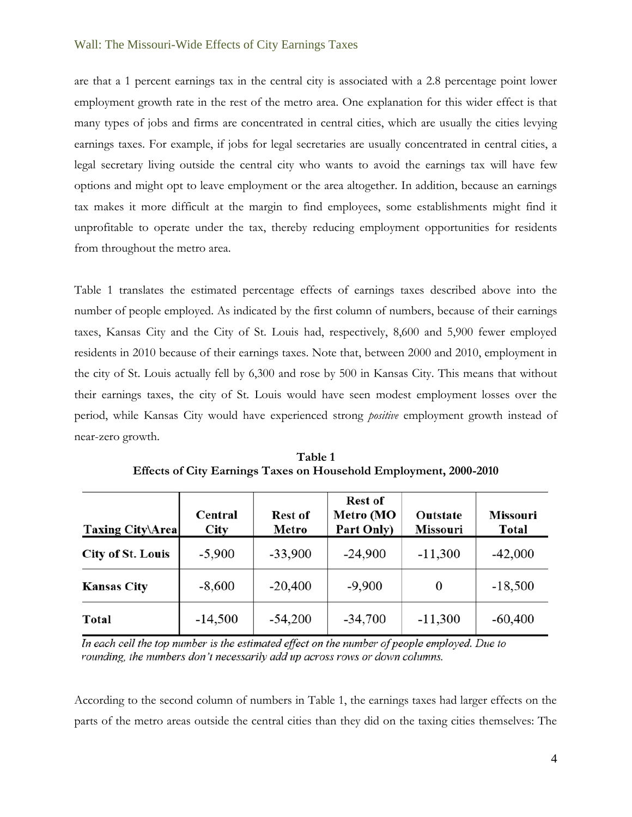are that a 1 percent earnings tax in the central city is associated with a 2.8 percentage point lower employment growth rate in the rest of the metro area. One explanation for this wider effect is that many types of jobs and firms are concentrated in central cities, which are usually the cities levying earnings taxes. For example, if jobs for legal secretaries are usually concentrated in central cities, a legal secretary living outside the central city who wants to avoid the earnings tax will have few options and might opt to leave employment or the area altogether. In addition, because an earnings tax makes it more difficult at the margin to find employees, some establishments might find it unprofitable to operate under the tax, thereby reducing employment opportunities for residents from throughout the metro area.

Table 1 translates the estimated percentage effects of earnings taxes described above into the number of people employed. As indicated by the first column of numbers, because of their earnings taxes, Kansas City and the City of St. Louis had, respectively, 8,600 and 5,900 fewer employed residents in 2010 because of their earnings taxes. Note that, between 2000 and 2010, employment in the city of St. Louis actually fell by 6,300 and rose by 500 in Kansas City. This means that without their earnings taxes, the city of St. Louis would have seen modest employment losses over the period, while Kansas City would have experienced strong *positive* employment growth instead of near-zero growth.

| <b>Taxing City\Area</b>  | Central<br>City | Rest of<br>Metro | <b>Rest of</b><br>Metro (MO<br>Part Only) | Outstate<br><b>Missouri</b> | <b>Missouri</b><br><b>Total</b> |
|--------------------------|-----------------|------------------|-------------------------------------------|-----------------------------|---------------------------------|
| <b>City of St. Louis</b> | $-5,900$        | $-33,900$        | $-24,900$                                 | $-11,300$                   | $-42,000$                       |
| <b>Kansas City</b>       | $-8,600$        | $-20,400$        | $-9,900$                                  | 0                           | $-18,500$                       |
| <b>Total</b>             | $-14,500$       | $-54,200$        | $-34,700$                                 | $-11,300$                   | $-60,400$                       |

**Table 1 Effects of City Earnings Taxes on Household Employment, 2000-2010**

In each cell the top number is the estimated effect on the number of people employed. Due to rounding, the numbers don't necessarily add up across rows or down columns.

According to the second column of numbers in Table 1, the earnings taxes had larger effects on the parts of the metro areas outside the central cities than they did on the taxing cities themselves: The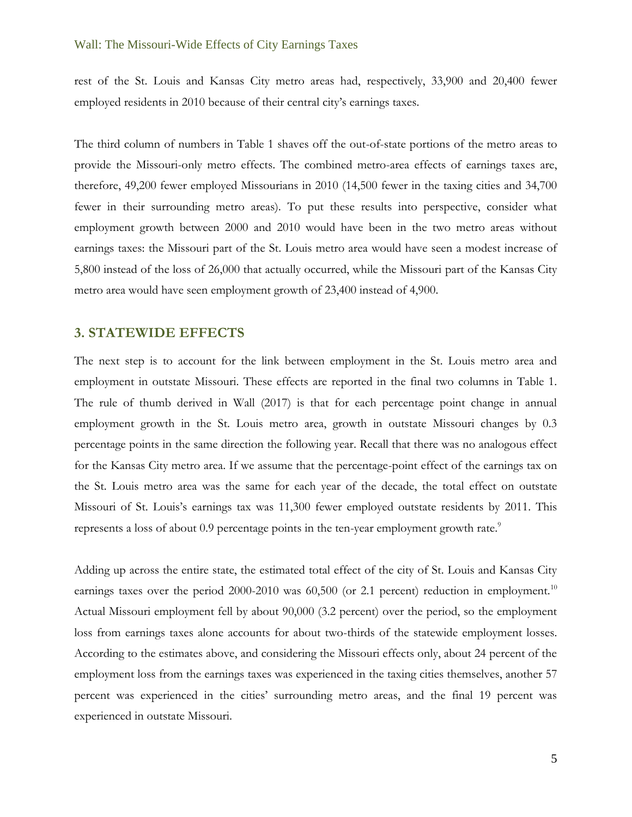rest of the St. Louis and Kansas City metro areas had, respectively, 33,900 and 20,400 fewer employed residents in 2010 because of their central city's earnings taxes.

The third column of numbers in Table 1 shaves off the out-of-state portions of the metro areas to provide the Missouri-only metro effects. The combined metro-area effects of earnings taxes are, therefore, 49,200 fewer employed Missourians in 2010 (14,500 fewer in the taxing cities and 34,700 fewer in their surrounding metro areas). To put these results into perspective, consider what employment growth between 2000 and 2010 would have been in the two metro areas without earnings taxes: the Missouri part of the St. Louis metro area would have seen a modest increase of 5,800 instead of the loss of 26,000 that actually occurred, while the Missouri part of the Kansas City metro area would have seen employment growth of 23,400 instead of 4,900.

#### **3. STATEWIDE EFFECTS**

The next step is to account for the link between employment in the St. Louis metro area and employment in outstate Missouri. These effects are reported in the final two columns in Table 1. The rule of thumb derived in Wall (2017) is that for each percentage point change in annual employment growth in the St. Louis metro area, growth in outstate Missouri changes by 0.3 percentage points in the same direction the following year. Recall that there was no analogous effect for the Kansas City metro area. If we assume that the percentage-point effect of the earnings tax on the St. Louis metro area was the same for each year of the decade, the total effect on outstate Missouri of St. Louis's earnings tax was 11,300 fewer employed outstate residents by 2011. This represents a loss of about 0.9 percentage points in the ten-year employment growth rate.<sup>9</sup>

Adding up across the entire state, the estimated total effect of the city of St. Louis and Kansas City earnings taxes over the period  $2000$ -2010 was  $60,500$  (or 2.1 percent) reduction in employment.<sup>10</sup> Actual Missouri employment fell by about 90,000 (3.2 percent) over the period, so the employment loss from earnings taxes alone accounts for about two-thirds of the statewide employment losses. According to the estimates above, and considering the Missouri effects only, about 24 percent of the employment loss from the earnings taxes was experienced in the taxing cities themselves, another 57 percent was experienced in the cities' surrounding metro areas, and the final 19 percent was experienced in outstate Missouri.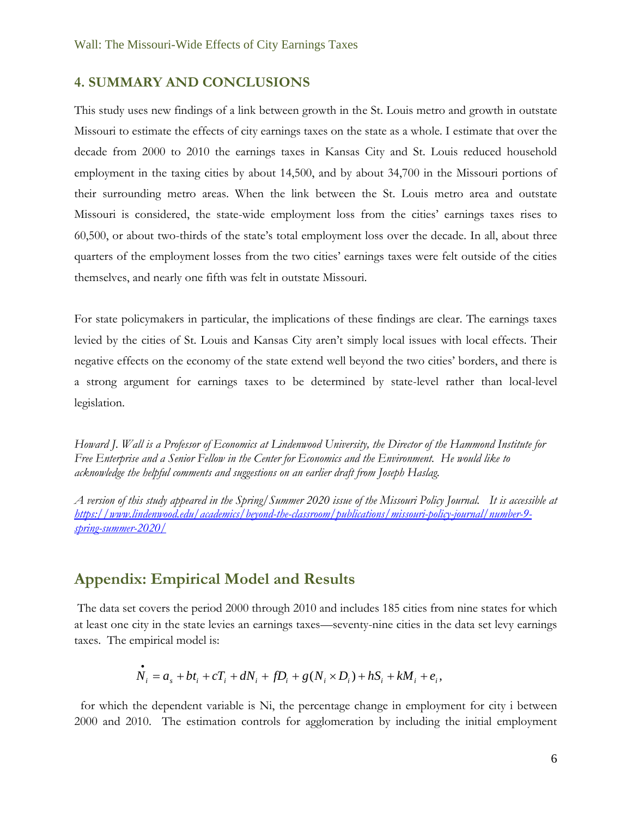### **4. SUMMARY AND CONCLUSIONS**

This study uses new findings of a link between growth in the St. Louis metro and growth in outstate Missouri to estimate the effects of city earnings taxes on the state as a whole. I estimate that over the decade from 2000 to 2010 the earnings taxes in Kansas City and St. Louis reduced household employment in the taxing cities by about 14,500, and by about 34,700 in the Missouri portions of their surrounding metro areas. When the link between the St. Louis metro area and outstate Missouri is considered, the state-wide employment loss from the cities' earnings taxes rises to 60,500, or about two-thirds of the state's total employment loss over the decade. In all, about three quarters of the employment losses from the two cities' earnings taxes were felt outside of the cities themselves, and nearly one fifth was felt in outstate Missouri.

For state policymakers in particular, the implications of these findings are clear. The earnings taxes levied by the cities of St. Louis and Kansas City aren't simply local issues with local effects. Their negative effects on the economy of the state extend well beyond the two cities' borders, and there is a strong argument for earnings taxes to be determined by state-level rather than local-level legislation.

*Howard J. Wall is a Professor of Economics at Lindenwood University, the Director of the Hammond Institute for Free Enterprise and a Senior Fellow in the Center for Economics and the Environment. He would like to acknowledge the helpful comments and suggestions on an earlier draft from Joseph Haslag.*

*A version of this study appeared in the Spring/Summer 2020 issue of the Missouri Policy Journal. It is accessible at [https://www.lindenwood.edu/academics/beyond-the-classroom/publications/missouri-policy-journal/number-9](https://www.lindenwood.edu/academics/beyond-the-classroom/publications/missouri-policy-journal/number-9-spring-summer-2020/) [spring-summer-2020/](https://www.lindenwood.edu/academics/beyond-the-classroom/publications/missouri-policy-journal/number-9-spring-summer-2020/)*

# **Appendix: Empirical Model and Results**

The data set covers the period 2000 through 2010 and includes 185 cities from nine states for which at least one city in the state levies an earnings taxes—seventy-nine cities in the data set levy earnings taxes. The empirical model is:

$$
\dot{N}_i = a_s + bt_i + cT_i + dN_i + fD_i + g(N_i \times D_i) + hS_i + kM_i + e_i,
$$

 for which the dependent variable is Ni, the percentage change in employment for city i between 2000 and 2010. The estimation controls for agglomeration by including the initial employment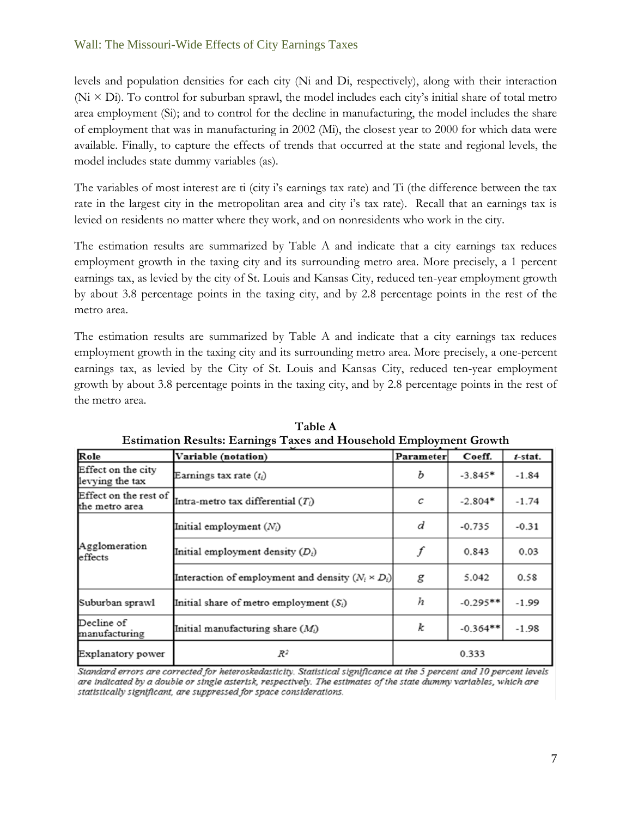levels and population densities for each city (Ni and Di, respectively), along with their interaction  $(N<sub>i</sub> \times Di)$ . To control for suburban sprawl, the model includes each city's initial share of total metro area employment (Si); and to control for the decline in manufacturing, the model includes the share of employment that was in manufacturing in 2002 (Mi), the closest year to 2000 for which data were available. Finally, to capture the effects of trends that occurred at the state and regional levels, the model includes state dummy variables (as).

The variables of most interest are ti (city i's earnings tax rate) and Ti (the difference between the tax rate in the largest city in the metropolitan area and city i's tax rate). Recall that an earnings tax is levied on residents no matter where they work, and on nonresidents who work in the city.

The estimation results are summarized by Table A and indicate that a city earnings tax reduces employment growth in the taxing city and its surrounding metro area. More precisely, a 1 percent earnings tax, as levied by the city of St. Louis and Kansas City, reduced ten-year employment growth by about 3.8 percentage points in the taxing city, and by 2.8 percentage points in the rest of the metro area.

The estimation results are summarized by Table A and indicate that a city earnings tax reduces employment growth in the taxing city and its surrounding metro area. More precisely, a one-percent earnings tax, as levied by the City of St. Louis and Kansas City, reduced ten-year employment growth by about 3.8 percentage points in the taxing city, and by 2.8 percentage points in the rest of the metro area.

| Role                                    | Variable (notation)                                      | Parameter | Coeff.     | $t$ -stat. |
|-----------------------------------------|----------------------------------------------------------|-----------|------------|------------|
| Effect on the city<br>levying the tax   | Earnings tax rate $(t_i)$                                | b         | $-3.845*$  | $-1.84$    |
| Effect on the rest of<br>the metro area | Intra-metro tax differential $(T_i)$                     | с         | $-2.804*$  | $-1.74$    |
| Agglomeration<br>effects                | Initial employment $(N_i)$                               | d         | $-0.735$   | $-0.31$    |
|                                         | Initial employment density $(D_i)$                       |           | 0.843      | 0.03       |
|                                         | Interaction of employment and density $(N_i \times D_i)$ | g         | 5.042      | 0.58       |
| Suburban sprawl                         | Initial share of metro employment $(S_i)$                | h         | $-0.295**$ | $-1.99$    |
| Decline of<br>manufacturing             | Initial manufacturing share $(M_i)$                      | k         | $-0.364**$ | $-1.98$    |
| Explanatory power                       | R2                                                       | 0.333     |            |            |

**Table A Estimation Results: Earnings Taxes and Household Employment Growth**

Standard errors are corrected for heteroskedasticity. Statistical significance at the 5 percent and 10 percent levels are indicated by a double or single asterisk, respectively. The estimates of the state dummy variables, which are statistically significant, are suppressed for space considerations.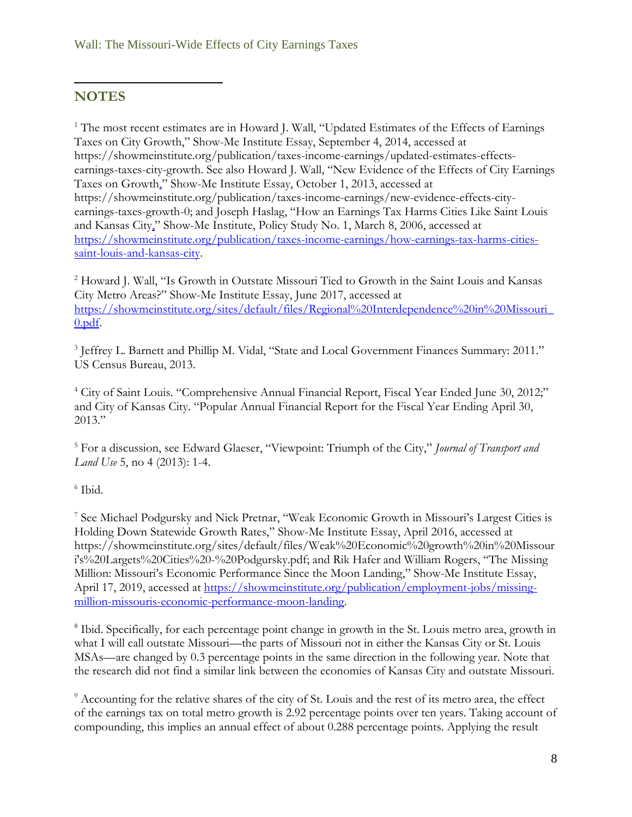## $\overline{a}$ **NOTES**

<sup>1</sup> The most recent estimates are in Howard J. Wall, "Updated Estimates of the Effects of Earnings Taxes on City Growth," Show-Me Institute Essay, September 4, 2014, accessed at https://showmeinstitute.org/publication/taxes-income-earnings/updated-estimates-effectsearnings-taxes-city-growth. See also Howard J. Wall, "New Evidence of the Effects of City Earnings Taxes on Growth," Show-Me Institute Essay, October 1, 2013, accessed at https://showmeinstitute.org/publication/taxes-income-earnings/new-evidence-effects-cityearnings-taxes-growth-0; and Joseph Haslag, "How an Earnings Tax Harms Cities Like Saint Louis and Kansas City," Show-Me Institute, Policy Study No. 1, March 8, 2006, accessed at [https://showmeinstitute.org/publication/taxes-income-earnings/how-earnings-tax-harms-cities](https://showmeinstitute.org/publication/taxes-income-earnings/how-earnings-tax-harms-cities-saint-louis-and-kansas-city)[saint-louis-and-kansas-city.](https://showmeinstitute.org/publication/taxes-income-earnings/how-earnings-tax-harms-cities-saint-louis-and-kansas-city)

<sup>2</sup> Howard J. Wall, "Is Growth in Outstate Missouri Tied to Growth in the Saint Louis and Kansas City Metro Areas?" Show-Me Institute Essay, June 2017, accessed at [https://showmeinstitute.org/sites/default/files/Regional%20Interdependence%20in%20Missouri\\_](https://showmeinstitute.org/sites/default/files/Regional%20Interdependence%20in%20Missouri_0.pdf) [0.pdf.](https://showmeinstitute.org/sites/default/files/Regional%20Interdependence%20in%20Missouri_0.pdf)

<sup>3</sup> Jeffrey L. Barnett and Phillip M. Vidal, "State and Local Government Finances Summary: 2011." US Census Bureau, 2013.

<sup>4</sup> City of Saint Louis. "Comprehensive Annual Financial Report, Fiscal Year Ended June 30, 2012;" and City of Kansas City. "Popular Annual Financial Report for the Fiscal Year Ending April 30, 2013."

<sup>5</sup> For a discussion, see Edward Glaeser, "Viewpoint: Triumph of the City," *Journal of Transport and Land Use* 5, no 4 (2013): 1-4.

# 6 Ibid.

7 See Michael Podgursky and Nick Pretnar, "Weak Economic Growth in Missouri's Largest Cities is Holding Down Statewide Growth Rates," Show-Me Institute Essay, April 2016, accessed at https://showmeinstitute.org/sites/default/files/Weak%20Economic%20growth%20in%20Missour i's%20Largets%20Cities%20-%20Podgursky.pdf; and Rik Hafer and William Rogers, "The Missing Million: Missouri's Economic Performance Since the Moon Landing," Show-Me Institute Essay, April 17, 2019, accessed at [https://showmeinstitute.org/publication/employment-jobs/missing](https://showmeinstitute.org/publication/employment-jobs/missing-million-missouris-economic-performance-moon-landing)[million-missouris-economic-performance-moon-landing.](https://showmeinstitute.org/publication/employment-jobs/missing-million-missouris-economic-performance-moon-landing)

<sup>8</sup> Ibid. Specifically, for each percentage point change in growth in the St. Louis metro area, growth in what I will call outstate Missouri—the parts of Missouri not in either the Kansas City or St. Louis MSAs—are changed by 0.3 percentage points in the same direction in the following year. Note that the research did not find a similar link between the economies of Kansas City and outstate Missouri.

<sup>9</sup> Accounting for the relative shares of the city of St. Louis and the rest of its metro area, the effect of the earnings tax on total metro growth is 2.92 percentage points over ten years. Taking account of compounding, this implies an annual effect of about 0.288 percentage points. Applying the result